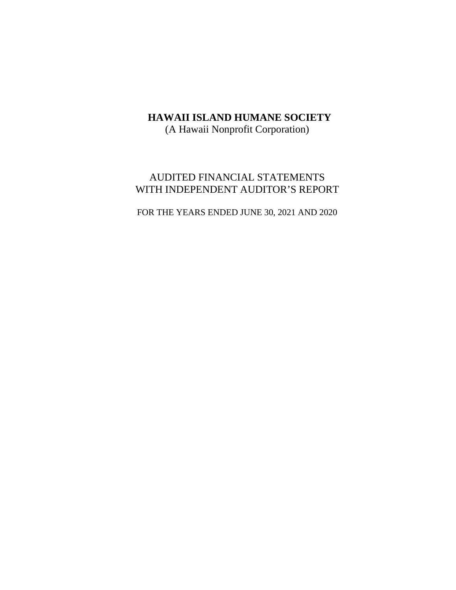# **HAWAII ISLAND HUMANE SOCIETY** (A Hawaii Nonprofit Corporation)

## AUDITED FINANCIAL STATEMENTS WITH INDEPENDENT AUDITOR'S REPORT

FOR THE YEARS ENDED JUNE 30, 2021 AND 2020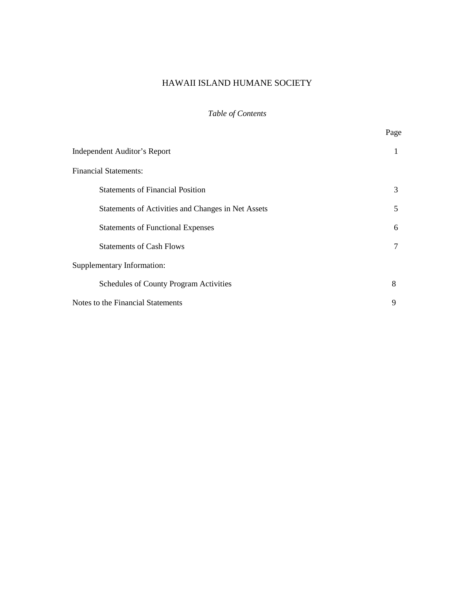## *Table of Contents*

Page

| <b>Independent Auditor's Report</b>                |   |  |  |  |  |  |  |
|----------------------------------------------------|---|--|--|--|--|--|--|
| <b>Financial Statements:</b>                       |   |  |  |  |  |  |  |
| <b>Statements of Financial Position</b>            | 3 |  |  |  |  |  |  |
| Statements of Activities and Changes in Net Assets | 5 |  |  |  |  |  |  |
| <b>Statements of Functional Expenses</b>           | 6 |  |  |  |  |  |  |
| <b>Statements of Cash Flows</b>                    | 7 |  |  |  |  |  |  |
| Supplementary Information:                         |   |  |  |  |  |  |  |
| <b>Schedules of County Program Activities</b>      | 8 |  |  |  |  |  |  |
| Notes to the Financial Statements                  | 9 |  |  |  |  |  |  |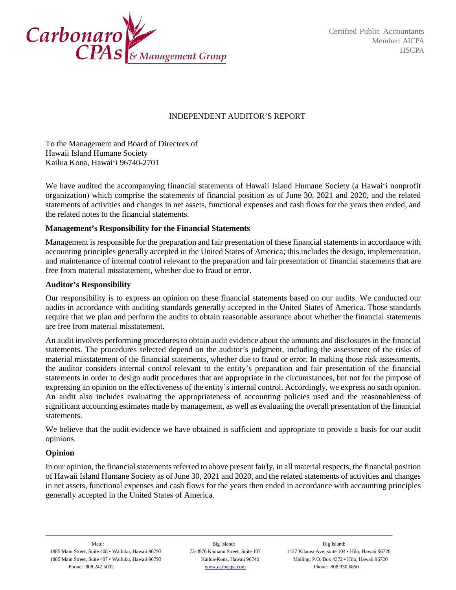

## INDEPENDENT AUDITOR'S REPORT

To the Management and Board of Directors of Hawaii Island Humane Society Kailua Kona, Hawai'i 96740-2701

We have audited the accompanying financial statements of Hawaii Island Humane Society (a Hawai'i nonprofit organization) which comprise the statements of financial position as of June 30, 2021 and 2020, and the related statements of activities and changes in net assets, functional expenses and cash flows for the years then ended, and the related notes to the financial statements.

## **Management's Responsibility for the Financial Statements**

Management is responsible for the preparation and fair presentation of these financial statements in accordance with accounting principles generally accepted in the United States of America; this includes the design, implementation, and maintenance of internal control relevant to the preparation and fair presentation of financial statements that are free from material misstatement, whether due to fraud or error.

## **Auditor's Responsibility**

Our responsibility is to express an opinion on these financial statements based on our audits. We conducted our audits in accordance with auditing standards generally accepted in the United States of America. Those standards require that we plan and perform the audits to obtain reasonable assurance about whether the financial statements are free from material misstatement.

An audit involves performing procedures to obtain audit evidence about the amounts and disclosures in the financial statements. The procedures selected depend on the auditor's judgment, including the assessment of the risks of material misstatement of the financial statements, whether due to fraud or error. In making those risk assessments, the auditor considers internal control relevant to the entity's preparation and fair presentation of the financial statements in order to design audit procedures that are appropriate in the circumstances, but not for the purpose of expressing an opinion on the effectiveness of the entity's internal control. Accordingly, we express no such opinion. An audit also includes evaluating the appropriateness of accounting policies used and the reasonableness of significant accounting estimates made by management, as well as evaluating the overall presentation of the financial statements.

We believe that the audit evidence we have obtained is sufficient and appropriate to provide a basis for our audit opinions.

## **Opinion**

In our opinion, the financial statements referred to above present fairly, in all material respects, the financial position of Hawaii Island Humane Society as of June 30, 2021 and 2020, and the related statements of activities and changes in net assets, functional expenses and cash flows for the years then ended in accordance with accounting principles generally accepted in the United States of America.

Maui: Big Island: Big Island: Big Island: Big Island: Big Island: Big Island: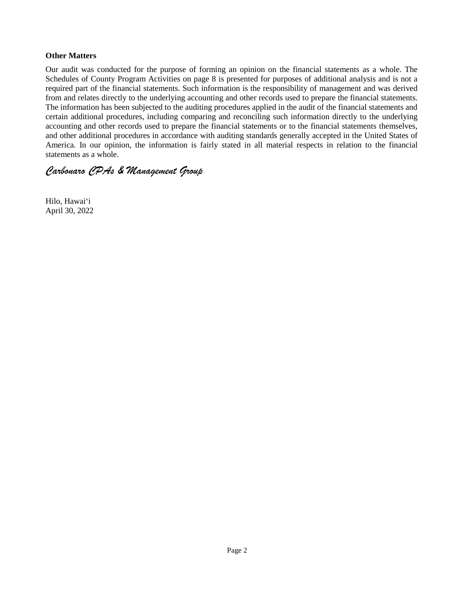## **Other Matters**

Our audit was conducted for the purpose of forming an opinion on the financial statements as a whole. The Schedules of County Program Activities on page 8 is presented for purposes of additional analysis and is not a required part of the financial statements. Such information is the responsibility of management and was derived from and relates directly to the underlying accounting and other records used to prepare the financial statements. The information has been subjected to the auditing procedures applied in the audit of the financial statements and certain additional procedures, including comparing and reconciling such information directly to the underlying accounting and other records used to prepare the financial statements or to the financial statements themselves, and other additional procedures in accordance with auditing standards generally accepted in the United States of America. In our opinion, the information is fairly stated in all material respects in relation to the financial statements as a whole.

*Carbonaro CPAs & Management Group*

Hilo, Hawai'i April 30, 2022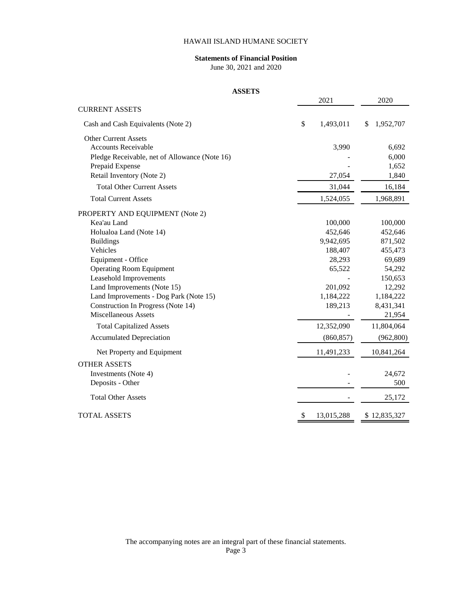## **Statements of Financial Position**

June 30, 2021 and 2020

#### **ASSETS**

|                                               | 2021             | 2020           |  |
|-----------------------------------------------|------------------|----------------|--|
| <b>CURRENT ASSETS</b>                         |                  |                |  |
| Cash and Cash Equivalents (Note 2)            | \$<br>1,493,011  | 1,952,707<br>S |  |
| <b>Other Current Assets</b>                   |                  |                |  |
| <b>Accounts Receivable</b>                    | 3,990            | 6,692          |  |
| Pledge Receivable, net of Allowance (Note 16) |                  | 6,000          |  |
| Prepaid Expense                               |                  | 1,652          |  |
| Retail Inventory (Note 2)                     | 27,054           | 1,840          |  |
| <b>Total Other Current Assets</b>             | 31,044           | 16,184         |  |
| <b>Total Current Assets</b>                   | 1,524,055        | 1,968,891      |  |
| PROPERTY AND EQUIPMENT (Note 2)               |                  |                |  |
| Kea'au Land                                   | 100,000          | 100,000        |  |
| Holualoa Land (Note 14)                       | 452,646          | 452,646        |  |
| <b>Buildings</b>                              | 9,942,695        | 871,502        |  |
| Vehicles                                      | 188,407          | 455,473        |  |
| Equipment - Office                            | 28,293           | 69,689         |  |
| <b>Operating Room Equipment</b>               | 65,522           | 54,292         |  |
| Leasehold Improvements                        |                  | 150,653        |  |
| Land Improvements (Note 15)                   | 201,092          | 12,292         |  |
| Land Improvements - Dog Park (Note 15)        | 1,184,222        | 1,184,222      |  |
| Construction In Progress (Note 14)            | 189,213          | 8,431,341      |  |
| <b>Miscellaneous Assets</b>                   |                  | 21,954         |  |
| <b>Total Capitalized Assets</b>               | 12,352,090       | 11,804,064     |  |
| <b>Accumulated Depreciation</b>               | (860, 857)       | (962, 800)     |  |
| Net Property and Equipment                    | 11,491,233       | 10,841,264     |  |
| <b>OTHER ASSETS</b>                           |                  |                |  |
| Investments (Note 4)                          |                  | 24,672         |  |
| Deposits - Other                              |                  | 500            |  |
| <b>Total Other Assets</b>                     |                  | 25,172         |  |
| <b>TOTAL ASSETS</b>                           | \$<br>13,015,288 | \$12,835,327   |  |
|                                               |                  |                |  |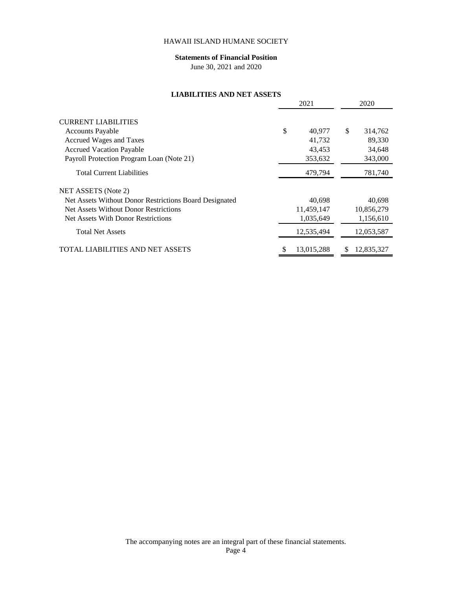#### **Statements of Financial Position**

June 30, 2021 and 2020

| <b>LIABILITIES AND NET ASSETS</b> |  |  |  |
|-----------------------------------|--|--|--|
|-----------------------------------|--|--|--|

| <b>LIABILITIES AND NET ASSETS</b>                      |      |            |    |            |  |  |  |  |
|--------------------------------------------------------|------|------------|----|------------|--|--|--|--|
|                                                        | 2021 |            |    | 2020       |  |  |  |  |
| <b>CURRENT LIABILITIES</b>                             |      |            |    |            |  |  |  |  |
| <b>Accounts Payable</b>                                | \$   | 40,977     | \$ | 314,762    |  |  |  |  |
| Accrued Wages and Taxes                                |      | 41,732     |    | 89,330     |  |  |  |  |
| <b>Accrued Vacation Payable</b>                        |      | 43,453     |    | 34,648     |  |  |  |  |
| Payroll Protection Program Loan (Note 21)              |      | 353,632    |    | 343,000    |  |  |  |  |
| <b>Total Current Liabilities</b>                       |      | 479,794    |    | 781,740    |  |  |  |  |
| NET ASSETS (Note 2)                                    |      |            |    |            |  |  |  |  |
| Net Assets Without Donor Restrictions Board Designated |      | 40,698     |    | 40,698     |  |  |  |  |
| Net Assets Without Donor Restrictions                  |      | 11,459,147 |    | 10,856,279 |  |  |  |  |
| Net Assets With Donor Restrictions                     |      | 1,035,649  |    | 1,156,610  |  |  |  |  |
| <b>Total Net Assets</b>                                |      | 12,535,494 |    | 12,053,587 |  |  |  |  |
| TOTAL LIABILITIES AND NET ASSETS                       | \$   | 13,015,288 |    | 12,835,327 |  |  |  |  |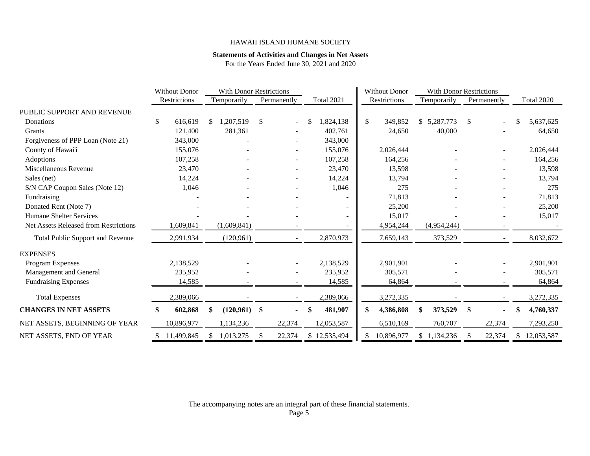#### **Statements of Activities and Changes in Net Assets**

|                                              |    | <b>Without Donor</b> | <b>With Donor Restrictions</b> |             |     | <b>Without Donor</b>     | <b>With Donor Restrictions</b> |               |    |             |           |                |    |              |
|----------------------------------------------|----|----------------------|--------------------------------|-------------|-----|--------------------------|--------------------------------|---------------|----|-------------|-----------|----------------|----|--------------|
|                                              |    | Restrictions         |                                | Temporarily |     | Permanently              | Total 2021                     | Restrictions  |    | Temporarily |           | Permanently    |    | Total 2020   |
| PUBLIC SUPPORT AND REVENUE                   |    |                      |                                |             |     |                          |                                |               |    |             |           |                |    |              |
| Donations                                    | \$ | 616.619              | \$                             | 1,207,519   | \$  |                          | \$<br>1,824,138                | \$<br>349,852 |    | \$5,287,773 | \$        |                | \$ | 5,637,625    |
| Grants                                       |    | 121,400              |                                | 281,361     |     |                          | 402,761                        | 24,650        |    | 40,000      |           |                |    | 64,650       |
| Forgiveness of PPP Loan (Note 21)            |    | 343,000              |                                |             |     |                          | 343,000                        |               |    |             |           |                |    |              |
| County of Hawai'i                            |    | 155,076              |                                |             |     |                          | 155,076                        | 2,026,444     |    |             |           |                |    | 2,026,444    |
| Adoptions                                    |    | 107,258              |                                |             |     | $\overline{\phantom{a}}$ | 107,258                        | 164,256       |    |             |           |                |    | 164,256      |
| Miscellaneous Revenue                        |    | 23,470               |                                |             |     |                          | 23,470                         | 13,598        |    |             |           |                |    | 13,598       |
| Sales (net)                                  |    | 14,224               |                                |             |     |                          | 14,224                         | 13,794        |    |             |           |                |    | 13,794       |
| S/N CAP Coupon Sales (Note 12)               |    | 1,046                |                                |             |     |                          | 1,046                          | 275           |    |             |           |                |    | 275          |
| Fundraising                                  |    |                      |                                |             |     |                          |                                | 71,813        |    |             |           |                |    | 71,813       |
| Donated Rent (Note 7)                        |    |                      |                                |             |     |                          |                                | 25,200        |    |             |           |                |    | 25,200       |
| <b>Humane Shelter Services</b>               |    |                      |                                |             |     |                          |                                | 15,017        |    |             |           |                |    | 15,017       |
| <b>Net Assets Released from Restrictions</b> |    | 1,609,841            |                                | (1,609,841) |     |                          |                                | 4,954,244     |    | (4,954,244) |           |                |    |              |
| <b>Total Public Support and Revenue</b>      |    | 2,991,934            |                                | (120,961)   |     | $\overline{\phantom{a}}$ | 2,870,973                      | 7,659,143     |    | 373,529     |           |                |    | 8,032,672    |
| <b>EXPENSES</b>                              |    |                      |                                |             |     |                          |                                |               |    |             |           |                |    |              |
| Program Expenses                             |    | 2,138,529            |                                |             |     |                          | 2,138,529                      | 2,901,901     |    |             |           |                |    | 2,901,901    |
| Management and General                       |    | 235,952              |                                |             |     |                          | 235,952                        | 305,571       |    |             |           |                |    | 305,571      |
| <b>Fundraising Expenses</b>                  |    | 14,585               |                                |             |     |                          | 14,585                         | 64,864        |    |             |           |                |    | 64,864       |
| <b>Total Expenses</b>                        |    | 2,389,066            |                                |             |     |                          | 2,389,066                      | 3,272,335     |    |             |           |                |    | 3,272,335    |
| <b>CHANGES IN NET ASSETS</b>                 |    | 602,868              | \$.                            | (120,961)   | -\$ |                          | \$<br>481,907                  | 4,386,808     | \$ | 373,529     | $\bullet$ | $\blacksquare$ | \$ | 4,760,337    |
| NET ASSETS, BEGINNING OF YEAR                |    | 10,896,977           |                                | 1,134,236   |     | 22,374                   | 12,053,587                     | 6,510,169     |    | 760,707     |           | 22,374         |    | 7,293,250    |
| NET ASSETS, END OF YEAR                      | S. | 11,499,845           | S.                             | 1,013,275   | \$  | 22,374                   | \$12,535,494                   | 10,896,977    |    | \$1,134,236 | \$.       | 22,374         |    | \$12,053,587 |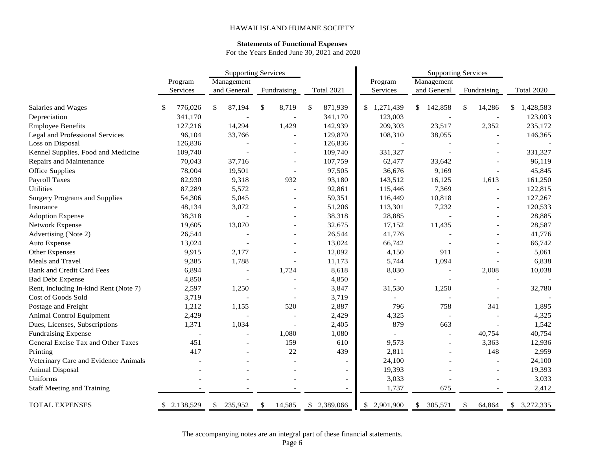#### **Statements of Functional Expenses**

|                                        |                          | <b>Supporting Services</b> |                          |    |                          |    |                          |  |                | <b>Supporting Services</b> |             |               |                          |                |                          |
|----------------------------------------|--------------------------|----------------------------|--------------------------|----|--------------------------|----|--------------------------|--|----------------|----------------------------|-------------|---------------|--------------------------|----------------|--------------------------|
|                                        | Program                  |                            | Management               |    |                          |    |                          |  | Program        |                            | Management  |               |                          |                |                          |
|                                        | Services                 |                            | and General              |    | Fundraising              |    | Total 2021               |  | Services       |                            | and General |               | Fundraising              |                | Total 2020               |
| Salaries and Wages                     | \$<br>776,026            | \$                         | 87,194                   | \$ | 8,719                    | \$ | 871,939                  |  | \$1,271,439    | \$                         | 142,858     | \$            | 14,286                   | $\mathbb{S}^-$ | 1,428,583                |
| Depreciation                           | 341,170                  |                            | $\overline{a}$           |    | L,                       |    | 341,170                  |  | 123,003        |                            |             |               | $\sim$                   |                | 123,003                  |
| <b>Employee Benefits</b>               | 127,216                  |                            | 14,294                   |    | 1,429                    |    | 142,939                  |  | 209,303        |                            | 23,517      |               | 2,352                    |                | 235,172                  |
| <b>Legal and Professional Services</b> | 96,104                   |                            | 33,766                   |    | $\overline{a}$           |    | 129,870                  |  | 108,310        |                            | 38,055      |               |                          |                | 146,365                  |
| Loss on Disposal                       | 126,836                  |                            |                          |    |                          |    | 126,836                  |  | $\overline{a}$ |                            |             |               |                          |                |                          |
| Kennel Supplies, Food and Medicine     | 109,740                  |                            |                          |    | $\overline{a}$           |    | 109,740                  |  | 331,327        |                            |             |               |                          |                | 331,327                  |
| Repairs and Maintenance                | 70,043                   |                            | 37,716                   |    | $\overline{a}$           |    | 107,759                  |  | 62,477         |                            | 33,642      |               |                          |                | 96,119                   |
| Office Supplies                        | 78,004                   |                            | 19,501                   |    | $\overline{a}$           |    | 97,505                   |  | 36,676         |                            | 9,169       |               |                          |                | 45,845                   |
| <b>Payroll Taxes</b>                   | 82,930                   |                            | 9,318                    |    | 932                      |    | 93,180                   |  | 143,512        |                            | 16,125      |               | 1,613                    |                | 161,250                  |
| <b>Utilities</b>                       | 87,289                   |                            | 5,572                    |    |                          |    | 92,861                   |  | 115,446        |                            | 7,369       |               | $\overline{a}$           |                | 122,815                  |
| <b>Surgery Programs and Supplies</b>   | 54,306                   |                            | 5,045                    |    | $\overline{\phantom{0}}$ |    | 59,351                   |  | 116,449        |                            | 10,818      |               | $\overline{\phantom{a}}$ |                | 127,267                  |
| Insurance                              | 48,134                   |                            | 3,072                    |    | $\overline{a}$           |    | 51,206                   |  | 113,301        |                            | 7,232       |               | $\overline{\phantom{a}}$ |                | 120,533                  |
| <b>Adoption Expense</b>                | 38,318                   |                            | $\overline{\phantom{a}}$ |    | $\overline{a}$           |    | 38,318                   |  | 28,885         |                            |             |               | $\overline{a}$           |                | 28,885                   |
| Network Expense                        | 19,605                   |                            | 13,070                   |    |                          |    | 32,675                   |  | 17,152         |                            | 11,435      |               | $\overline{a}$           |                | 28,587                   |
| Advertising (Note 2)                   | 26,544                   |                            | $\overline{\phantom{a}}$ |    |                          |    | 26,544                   |  | 41,776         |                            |             |               | $\overline{a}$           |                | 41,776                   |
| Auto Expense                           | 13,024                   |                            | $\overline{\phantom{a}}$ |    |                          |    | 13,024                   |  | 66,742         |                            |             |               | $\overline{a}$           |                | 66,742                   |
| Other Expenses                         | 9,915                    |                            | 2,177                    |    |                          |    | 12,092                   |  | 4,150          |                            | 911         |               | $\overline{a}$           |                | 5,061                    |
| Meals and Travel                       | 9,385                    |                            | 1,788                    |    |                          |    | 11,173                   |  | 5,744          |                            | 1,094       |               |                          |                | 6,838                    |
| <b>Bank and Credit Card Fees</b>       | 6,894                    |                            | $\overline{\phantom{a}}$ |    | 1,724                    |    | 8,618                    |  | 8,030          |                            |             |               | 2,008                    |                | 10,038                   |
| <b>Bad Debt Expense</b>                | 4,850                    |                            | $\overline{\phantom{a}}$ |    | $\overline{\phantom{0}}$ |    | 4,850                    |  |                |                            |             |               | $\overline{\phantom{a}}$ |                | $\overline{\phantom{a}}$ |
| Rent, including In-kind Rent (Note 7)  | 2,597                    |                            | 1,250                    |    |                          |    | 3,847                    |  | 31,530         |                            | 1,250       |               |                          |                | 32,780                   |
| Cost of Goods Sold                     | 3,719                    |                            |                          |    | $\overline{\phantom{a}}$ |    | 3,719                    |  |                |                            |             |               |                          |                |                          |
| Postage and Freight                    | 1,212                    |                            | 1,155                    |    | 520                      |    | 2,887                    |  | 796            |                            | 758         |               | 341                      |                | 1,895                    |
| Animal Control Equipment               | 2,429                    |                            |                          |    |                          |    | 2,429                    |  | 4,325          |                            |             |               |                          |                | 4,325                    |
| Dues, Licenses, Subscriptions          | 1,371                    |                            | 1,034                    |    |                          |    | 2,405                    |  | 879            |                            | 663         |               |                          |                | 1,542                    |
| <b>Fundraising Expense</b>             | $\overline{\phantom{a}}$ |                            |                          |    | 1,080                    |    | 1,080                    |  |                |                            |             |               | 40,754                   |                | 40,754                   |
| General Excise Tax and Other Taxes     | 451                      |                            |                          |    | 159                      |    | 610                      |  | 9,573          |                            |             |               | 3,363                    |                | 12,936                   |
| Printing                               | 417                      |                            |                          |    | 22                       |    | 439                      |  | 2,811          |                            |             |               | 148                      |                | 2,959                    |
| Veterinary Care and Evidence Animals   |                          |                            |                          |    |                          |    | $\overline{\phantom{a}}$ |  | 24,100         |                            |             |               | $\overline{\phantom{a}}$ |                | 24,100                   |
| <b>Animal Disposal</b>                 |                          |                            |                          |    |                          |    | $\blacksquare$           |  | 19,393         |                            |             |               | $\overline{\phantom{a}}$ |                | 19,393                   |
| Uniforms                               |                          |                            |                          |    |                          |    | $\overline{\phantom{a}}$ |  | 3,033          |                            |             |               |                          |                | 3,033                    |
| <b>Staff Meeting and Training</b>      |                          |                            |                          |    |                          |    | $\overline{\phantom{a}}$ |  | 1,737          |                            | 675         |               |                          |                | 2,412                    |
| <b>TOTAL EXPENSES</b>                  | \$2,138,529              | \$                         | 235,952                  | \$ | 14,585                   |    | \$2,389,066              |  | \$ 2,901,900   | S.                         | 305,571     | <sup>\$</sup> | 64,864                   |                | \$3,272,335              |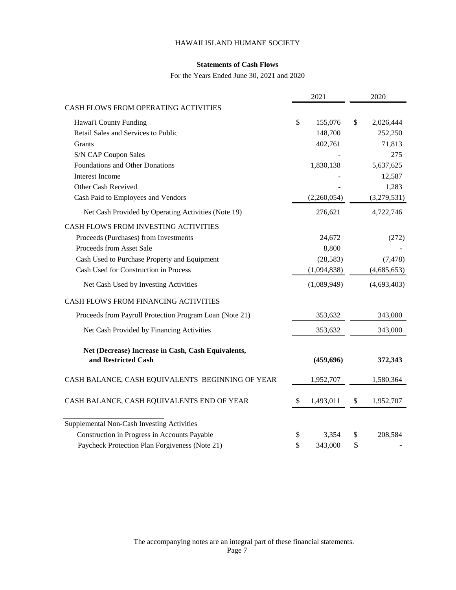#### **Statements of Cash Flows**

|                                                                           | 2021            | 2020            |
|---------------------------------------------------------------------------|-----------------|-----------------|
| CASH FLOWS FROM OPERATING ACTIVITIES                                      |                 |                 |
| Hawai'i County Funding                                                    | \$<br>155,076   | \$<br>2,026,444 |
| Retail Sales and Services to Public                                       | 148,700         | 252,250         |
| Grants                                                                    | 402,761         | 71,813          |
| S/N CAP Coupon Sales                                                      |                 | 275             |
| Foundations and Other Donations                                           | 1,830,138       | 5,637,625       |
| <b>Interest Income</b>                                                    |                 | 12,587          |
| Other Cash Received                                                       |                 | 1,283           |
| Cash Paid to Employees and Vendors                                        | (2,260,054)     | (3,279,531)     |
| Net Cash Provided by Operating Activities (Note 19)                       | 276,621         | 4,722,746       |
| CASH FLOWS FROM INVESTING ACTIVITIES                                      |                 |                 |
| Proceeds (Purchases) from Investments                                     | 24,672          | (272)           |
| Proceeds from Asset Sale                                                  | 8,800           |                 |
| Cash Used to Purchase Property and Equipment                              | (28, 583)       | (7, 478)        |
| Cash Used for Construction in Process                                     | (1,094,838)     | (4,685,653)     |
| Net Cash Used by Investing Activities                                     | (1,089,949)     | (4,693,403)     |
| CASH FLOWS FROM FINANCING ACTIVITIES                                      |                 |                 |
| Proceeds from Payroll Protection Program Loan (Note 21)                   | 353,632         | 343,000         |
| Net Cash Provided by Financing Activities                                 | 353,632         | 343,000         |
| Net (Decrease) Increase in Cash, Cash Equivalents,<br>and Restricted Cash | (459, 696)      | 372,343         |
| CASH BALANCE, CASH EQUIVALENTS BEGINNING OF YEAR                          | 1,952,707       | 1,580,364       |
| CASH BALANCE, CASH EQUIVALENTS END OF YEAR                                | \$<br>1,493,011 | \$<br>1,952,707 |
| Supplemental Non-Cash Investing Activities                                |                 |                 |
| Construction in Progress in Accounts Payable                              | \$<br>3,354     | \$<br>208,584   |
| Paycheck Protection Plan Forgiveness (Note 21)                            | \$<br>343,000   | \$              |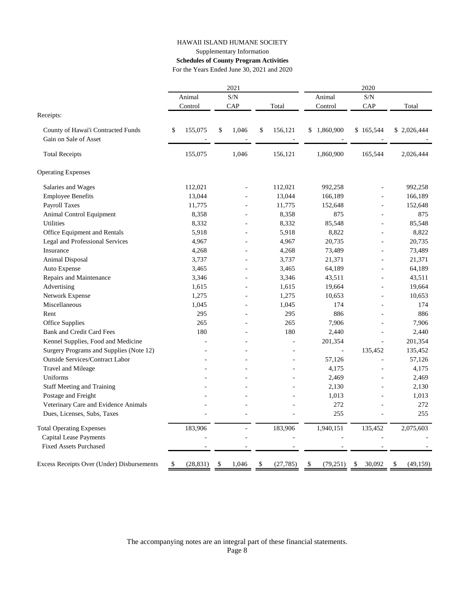Supplementary Information

#### **Schedules of County Program Activities**

|                                                             |                 | 2021           |                 | 2020            |                |                 |  |  |  |
|-------------------------------------------------------------|-----------------|----------------|-----------------|-----------------|----------------|-----------------|--|--|--|
|                                                             | Animal          | S/N            |                 | Animal          | S/N            |                 |  |  |  |
|                                                             | Control         | CAP            | Total           | Control         | CAP            | Total           |  |  |  |
| Receipts:                                                   |                 |                |                 |                 |                |                 |  |  |  |
| County of Hawai'i Contracted Funds<br>Gain on Sale of Asset | 155,075<br>\$   | \$<br>1,046    | \$<br>156,121   | \$<br>1,860,900 | \$165,544      | \$2,026,444     |  |  |  |
| <b>Total Receipts</b>                                       | 155,075         | 1,046          | 156,121         | 1,860,900       | 165,544        | 2,026,444       |  |  |  |
| <b>Operating Expenses</b>                                   |                 |                |                 |                 |                |                 |  |  |  |
| Salaries and Wages                                          | 112,021         |                | 112,021         | 992,258         |                | 992,258         |  |  |  |
| <b>Employee Benefits</b>                                    | 13,044          |                | 13,044          | 166,189         |                | 166,189         |  |  |  |
| <b>Payroll Taxes</b>                                        | 11,775          |                | 11,775          | 152,648         | $\overline{a}$ | 152,648         |  |  |  |
| Animal Control Equipment                                    | 8,358           | $\overline{a}$ | 8,358           | 875             | L,             | 875             |  |  |  |
| <b>Utilities</b>                                            | 8,332           |                | 8,332           | 85,548          | $\overline{a}$ | 85,548          |  |  |  |
| Office Equipment and Rentals                                | 5,918           |                | 5,918           | 8,822           |                | 8,822           |  |  |  |
| Legal and Professional Services                             | 4,967           |                | 4,967           | 20,735          |                | 20,735          |  |  |  |
| Insurance                                                   | 4,268           |                | 4,268           | 73,489          |                | 73,489          |  |  |  |
| Animal Disposal                                             | 3,737           |                | 3,737           | 21,371          |                | 21,371          |  |  |  |
| Auto Expense                                                | 3,465           |                | 3,465           | 64,189          |                | 64,189          |  |  |  |
| Repairs and Maintenance                                     | 3,346           |                | 3,346           | 43,511          |                | 43,511          |  |  |  |
| Advertising                                                 | 1,615           |                | 1,615           | 19,664          |                | 19,664          |  |  |  |
| Network Expense                                             | 1,275           |                | 1,275           | 10,653          |                | 10,653          |  |  |  |
| Miscellaneous                                               | 1,045           |                | 1,045           | 174             |                | 174             |  |  |  |
| Rent                                                        | 295             |                | 295             | 886             |                | 886             |  |  |  |
| Office Supplies                                             | 265             |                | 265             | 7,906           |                | 7,906           |  |  |  |
| <b>Bank and Credit Card Fees</b>                            | 180             |                | 180             | 2,440           | $\overline{a}$ | 2,440           |  |  |  |
| Kennel Supplies, Food and Medicine                          |                 |                |                 | 201,354         | $\overline{a}$ | 201,354         |  |  |  |
| Surgery Programs and Supplies (Note 12)                     |                 |                | $\overline{a}$  | $\overline{a}$  | 135,452        | 135,452         |  |  |  |
| <b>Outside Services/Contract Labor</b>                      |                 |                |                 | 57,126          |                | 57,126          |  |  |  |
| Travel and Mileage                                          |                 |                |                 | 4,175           |                | 4,175           |  |  |  |
| Uniforms                                                    |                 |                |                 | 2,469           |                | 2,469           |  |  |  |
| <b>Staff Meeting and Training</b>                           |                 |                |                 | 2,130           |                | 2,130           |  |  |  |
| Postage and Freight                                         |                 |                |                 | 1,013           |                | 1,013           |  |  |  |
| Veterinary Care and Evidence Animals                        |                 |                |                 | 272             |                | 272             |  |  |  |
| Dues, Licenses, Subs, Taxes                                 |                 |                |                 | 255             |                | 255             |  |  |  |
| <b>Total Operating Expenses</b>                             | 183,906         | $\overline{a}$ | 183,906         | 1,940,151       | 135,452        | 2,075,603       |  |  |  |
| <b>Capital Lease Payments</b>                               |                 |                |                 |                 |                |                 |  |  |  |
| <b>Fixed Assets Purchased</b>                               |                 |                |                 |                 |                |                 |  |  |  |
| Excess Receipts Over (Under) Disbursements                  | \$<br>(28, 831) | \$<br>1,046    | \$<br>(27, 785) | \$<br>(79, 251) | \$<br>30,092   | \$<br>(49, 159) |  |  |  |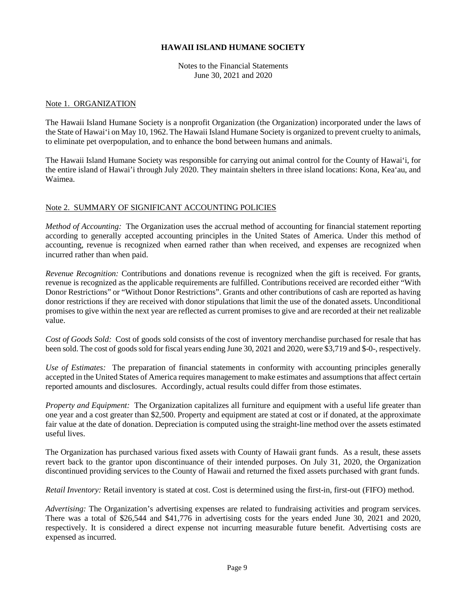Notes to the Financial Statements June 30, 2021 and 2020

#### Note 1. ORGANIZATION

The Hawaii Island Humane Society is a nonprofit Organization (the Organization) incorporated under the laws of the State of Hawai'i on May 10, 1962. The Hawaii Island Humane Society is organized to prevent cruelty to animals, to eliminate pet overpopulation, and to enhance the bond between humans and animals.

The Hawaii Island Humane Society was responsible for carrying out animal control for the County of Hawai'i, for the entire island of Hawai'i through July 2020. They maintain shelters in three island locations: Kona, Kea'au, and Waimea.

## Note 2. SUMMARY OF SIGNIFICANT ACCOUNTING POLICIES

*Method of Accounting:* The Organization uses the accrual method of accounting for financial statement reporting according to generally accepted accounting principles in the United States of America. Under this method of accounting, revenue is recognized when earned rather than when received, and expenses are recognized when incurred rather than when paid.

*Revenue Recognition:* Contributions and donations revenue is recognized when the gift is received. For grants, revenue is recognized as the applicable requirements are fulfilled. Contributions received are recorded either "With Donor Restrictions" or "Without Donor Restrictions". Grants and other contributions of cash are reported as having donor restrictions if they are received with donor stipulations that limit the use of the donated assets. Unconditional promises to give within the next year are reflected as current promises to give and are recorded at their net realizable value.

*Cost of Goods Sold:* Cost of goods sold consists of the cost of inventory merchandise purchased for resale that has been sold. The cost of goods sold for fiscal years ending June 30, 2021 and 2020, were \$3,719 and \$-0-, respectively.

*Use of Estimates:* The preparation of financial statements in conformity with accounting principles generally accepted in the United States of America requires management to make estimates and assumptions that affect certain reported amounts and disclosures. Accordingly, actual results could differ from those estimates.

*Property and Equipment:* The Organization capitalizes all furniture and equipment with a useful life greater than one year and a cost greater than \$2,500. Property and equipment are stated at cost or if donated, at the approximate fair value at the date of donation. Depreciation is computed using the straight-line method over the assets estimated useful lives.

The Organization has purchased various fixed assets with County of Hawaii grant funds. As a result, these assets revert back to the grantor upon discontinuance of their intended purposes. On July 31, 2020, the Organization discontinued providing services to the County of Hawaii and returned the fixed assets purchased with grant funds.

*Retail Inventory:* Retail inventory is stated at cost. Cost is determined using the first-in, first-out (FIFO) method.

*Advertising:* The Organization's advertising expenses are related to fundraising activities and program services. There was a total of \$26,544 and \$41,776 in advertising costs for the years ended June 30, 2021 and 2020, respectively. It is considered a direct expense not incurring measurable future benefit. Advertising costs are expensed as incurred.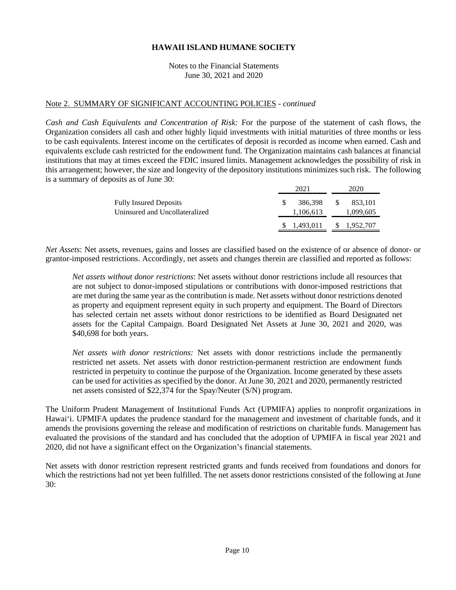Notes to the Financial Statements June 30, 2021 and 2020

## Note 2. SUMMARY OF SIGNIFICANT ACCOUNTING POLICIES - *continued*

*Cash and Cash Equivalents and Concentration of Risk:* For the purpose of the statement of cash flows, the Organization considers all cash and other highly liquid investments with initial maturities of three months or less to be cash equivalents. Interest income on the certificates of deposit is recorded as income when earned. Cash and equivalents exclude cash restricted for the endowment fund. The Organization maintains cash balances at financial institutions that may at times exceed the FDIC insured limits. Management acknowledges the possibility of risk in this arrangement; however, the size and longevity of the depository institutions minimizes such risk. The following is a summary of deposits as of June 30:

|                                                                 | 2021 |                      |               | 2020                 |
|-----------------------------------------------------------------|------|----------------------|---------------|----------------------|
| <b>Fully Insured Deposits</b><br>Uninsured and Uncollateralized |      | 386.398<br>1,106,613 | <sup>\$</sup> | 853,101<br>1,099,605 |
|                                                                 |      | 1,493,011            |               | \$ 1,952,707         |

*Net Assets*: Net assets, revenues, gains and losses are classified based on the existence of or absence of donor- or grantor-imposed restrictions. Accordingly, net assets and changes therein are classified and reported as follows:

*Net assets without donor restrictions*: Net assets without donor restrictions include all resources that are not subject to donor-imposed stipulations or contributions with donor-imposed restrictions that are met during the same year as the contribution is made. Net assets without donor restrictions denoted as property and equipment represent equity in such property and equipment. The Board of Directors has selected certain net assets without donor restrictions to be identified as Board Designated net assets for the Capital Campaign. Board Designated Net Assets at June 30, 2021 and 2020, was \$40,698 for both years.

*Net assets with donor restrictions:* Net assets with donor restrictions include the permanently restricted net assets. Net assets with donor restriction-permanent restriction are endowment funds restricted in perpetuity to continue the purpose of the Organization. Income generated by these assets can be used for activities as specified by the donor. At June 30, 2021 and 2020, permanently restricted net assets consisted of \$22,374 for the Spay/Neuter (S/N) program.

The Uniform Prudent Management of Institutional Funds Act (UPMIFA) applies to nonprofit organizations in Hawai'i. UPMIFA updates the prudence standard for the management and investment of charitable funds, and it amends the provisions governing the release and modification of restrictions on charitable funds. Management has evaluated the provisions of the standard and has concluded that the adoption of UPMIFA in fiscal year 2021 and 2020, did not have a significant effect on the Organization's financial statements.

Net assets with donor restriction represent restricted grants and funds received from foundations and donors for which the restrictions had not yet been fulfilled. The net assets donor restrictions consisted of the following at June 30: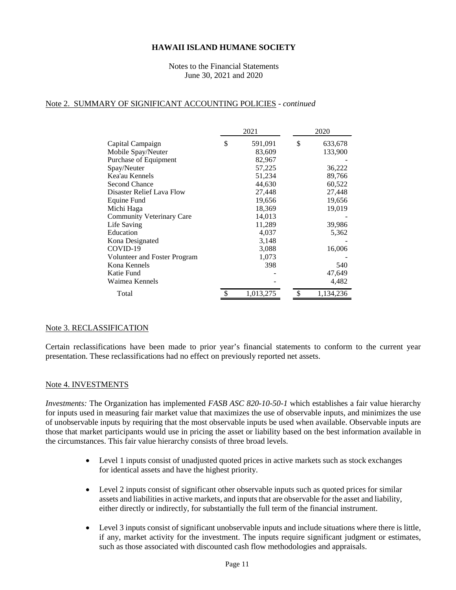## Notes to the Financial Statements June 30, 2021 and 2020

## Note 2. SUMMARY OF SIGNIFICANT ACCOUNTING POLICIES - *continued*

|                                  | 2021 |           | 2020          |
|----------------------------------|------|-----------|---------------|
| Capital Campaign                 | \$   | 591,091   | \$<br>633,678 |
| Mobile Spay/Neuter               |      | 83,609    | 133,900       |
| Purchase of Equipment            |      | 82,967    |               |
| Spay/Neuter                      |      | 57,225    | 36,222        |
| Kea'au Kennels                   |      | 51,234    | 89,766        |
| <b>Second Chance</b>             |      | 44,630    | 60,522        |
| Disaster Relief Lava Flow        |      | 27,448    | 27,448        |
| Equine Fund                      |      | 19,656    | 19,656        |
| Michi Haga                       |      | 18,369    | 19,019        |
| <b>Community Veterinary Care</b> |      | 14,013    |               |
| Life Saving                      |      | 11,289    | 39,986        |
| Education                        |      | 4,037     | 5,362         |
| Kona Designated                  |      | 3,148     |               |
| COVID-19                         |      | 3,088     | 16,006        |
| Volunteer and Foster Program     |      | 1,073     |               |
| Kona Kennels                     |      | 398       | 540           |
| Katie Fund                       |      |           | 47,649        |
| Waimea Kennels                   |      |           | 4,482         |
| Total                            |      | 1,013,275 | 1,134,236     |

## Note 3. RECLASSIFICATION

Certain reclassifications have been made to prior year's financial statements to conform to the current year presentation. These reclassifications had no effect on previously reported net assets.

#### Note 4. INVESTMENTS

*Investments:* The Organization has implemented *FASB ASC 820-10-50-1* which establishes a fair value hierarchy for inputs used in measuring fair market value that maximizes the use of observable inputs, and minimizes the use of unobservable inputs by requiring that the most observable inputs be used when available. Observable inputs are those that market participants would use in pricing the asset or liability based on the best information available in the circumstances. This fair value hierarchy consists of three broad levels.

- Level 1 inputs consist of unadjusted quoted prices in active markets such as stock exchanges for identical assets and have the highest priority.
- Level 2 inputs consist of significant other observable inputs such as quoted prices for similar assets and liabilities in active markets, and inputs that are observable for the asset and liability, either directly or indirectly, for substantially the full term of the financial instrument.
- Level 3 inputs consist of significant unobservable inputs and include situations where there is little, if any, market activity for the investment. The inputs require significant judgment or estimates, such as those associated with discounted cash flow methodologies and appraisals.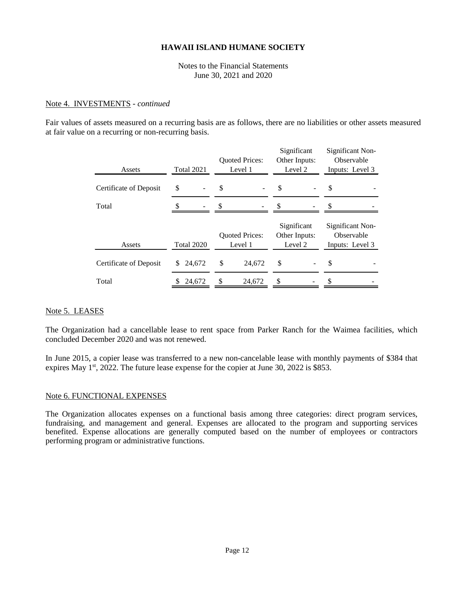Notes to the Financial Statements June 30, 2021 and 2020

#### Note 4. INVESTMENTS - *continued*

Fair values of assets measured on a recurring basis are as follows, there are no liabilities or other assets measured at fair value on a recurring or non-recurring basis.

| Assets                 | Total 2021 |        |                                  | <b>Quoted Prices:</b><br>Level 1 | Significant<br>Other Inputs:<br>Level 2 |  |                                                   | Significant Non-<br>Observable<br>Inputs: Level 3 |
|------------------------|------------|--------|----------------------------------|----------------------------------|-----------------------------------------|--|---------------------------------------------------|---------------------------------------------------|
| Certificate of Deposit | \$         |        | \$                               |                                  | \$                                      |  | \$                                                |                                                   |
| Total                  |            |        |                                  |                                  | \$                                      |  |                                                   |                                                   |
| Assets                 | Total 2020 |        | <b>Ouoted Prices:</b><br>Level 1 |                                  | Significant<br>Other Inputs:<br>Level 2 |  | Significant Non-<br>Observable<br>Inputs: Level 3 |                                                   |
| Certificate of Deposit | \$.        | 24,672 | \$                               | 24,672                           | \$                                      |  | \$                                                |                                                   |
| Total                  |            | 24,672 | \$                               | 24,672                           | \$                                      |  |                                                   |                                                   |

## Note 5. LEASES

The Organization had a cancellable lease to rent space from Parker Ranch for the Waimea facilities, which concluded December 2020 and was not renewed.

In June 2015, a copier lease was transferred to a new non-cancelable lease with monthly payments of \$384 that expires May 1<sup>st</sup>, 2022. The future lease expense for the copier at June 30, 2022 is \$853.

## Note 6. FUNCTIONAL EXPENSES

The Organization allocates expenses on a functional basis among three categories: direct program services, fundraising, and management and general. Expenses are allocated to the program and supporting services benefited. Expense allocations are generally computed based on the number of employees or contractors performing program or administrative functions.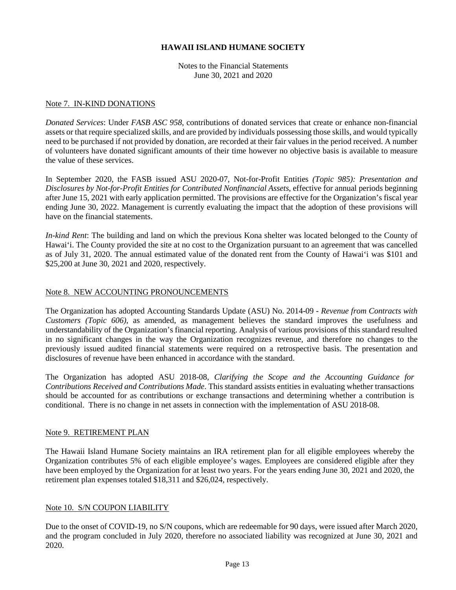Notes to the Financial Statements June 30, 2021 and 2020

#### Note 7. IN-KIND DONATIONS

*Donated Services*: Under *FASB ASC 958*, contributions of donated services that create or enhance non-financial assets or that require specialized skills, and are provided by individuals possessing those skills, and would typically need to be purchased if not provided by donation, are recorded at their fair values in the period received. A number of volunteers have donated significant amounts of their time however no objective basis is available to measure the value of these services.

In September 2020, the FASB issued ASU 2020-07, Not-for-Profit Entities *(Topic 985): Presentation and Disclosures by Not-for-Profit Entities for Contributed Nonfinancial Assets*, effective for annual periods beginning after June 15, 2021 with early application permitted. The provisions are effective for the Organization's fiscal year ending June 30, 2022. Management is currently evaluating the impact that the adoption of these provisions will have on the financial statements.

*In-kind Rent*: The building and land on which the previous Kona shelter was located belonged to the County of Hawai'i. The County provided the site at no cost to the Organization pursuant to an agreement that was cancelled as of July 31, 2020. The annual estimated value of the donated rent from the County of Hawai'i was \$101 and \$25,200 at June 30, 2021 and 2020, respectively.

#### Note 8. NEW ACCOUNTING PRONOUNCEMENTS

The Organization has adopted Accounting Standards Update (ASU) No. 2014-09 - *Revenue from Contracts with Customers (Topic 606)*, as amended, as management believes the standard improves the usefulness and understandability of the Organization's financial reporting. Analysis of various provisions of this standard resulted in no significant changes in the way the Organization recognizes revenue, and therefore no changes to the previously issued audited financial statements were required on a retrospective basis. The presentation and disclosures of revenue have been enhanced in accordance with the standard.

The Organization has adopted ASU 2018-08, *Clarifying the Scope and the Accounting Guidance for Contributions Received and Contributions Made*. This standard assists entities in evaluating whether transactions should be accounted for as contributions or exchange transactions and determining whether a contribution is conditional. There is no change in net assets in connection with the implementation of ASU 2018-08.

#### Note 9. RETIREMENT PLAN

The Hawaii Island Humane Society maintains an IRA retirement plan for all eligible employees whereby the Organization contributes 5% of each eligible employee's wages. Employees are considered eligible after they have been employed by the Organization for at least two years. For the years ending June 30, 2021 and 2020, the retirement plan expenses totaled \$18,311 and \$26,024, respectively.

## Note 10. S/N COUPON LIABILITY

Due to the onset of COVID-19, no S/N coupons, which are redeemable for 90 days, were issued after March 2020, and the program concluded in July 2020, therefore no associated liability was recognized at June 30, 2021 and 2020.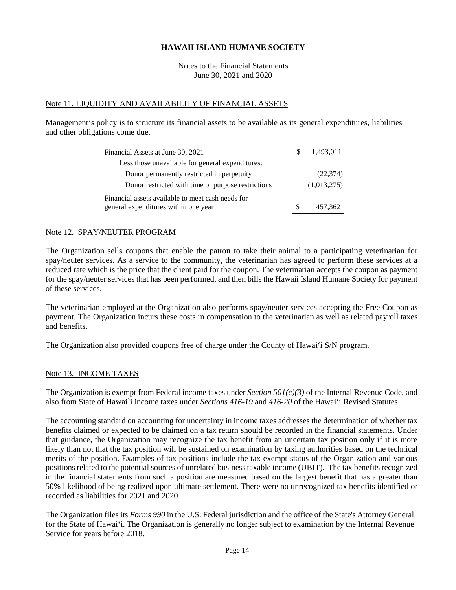Notes to the Financial Statements June 30, 2021 and 2020

#### Note 11. LIQUIDITY AND AVAILABILITY OF FINANCIAL ASSETS

Management's policy is to structure its financial assets to be available as its general expenditures, liabilities and other obligations come due.

| Financial Assets at June 30, 2021                  | 1,493,011   |
|----------------------------------------------------|-------------|
| Less those unavailable for general expenditures:   |             |
| Donor permanently restricted in perpetuity         | (22, 374)   |
| Donor restricted with time or purpose restrictions | (1,013,275) |
| Financial assets available to meet cash needs for  |             |
| general expenditures within one year               | 457,362     |

#### Note 12. SPAY/NEUTER PROGRAM

The Organization sells coupons that enable the patron to take their animal to a participating veterinarian for spay/neuter services. As a service to the community, the veterinarian has agreed to perform these services at a reduced rate which is the price that the client paid for the coupon. The veterinarian accepts the coupon as payment for the spay/neuter services that has been performed, and then bills the Hawaii Island Humane Society for payment of these services.

The veterinarian employed at the Organization also performs spay/neuter services accepting the Free Coupon as payment. The Organization incurs these costs in compensation to the veterinarian as well as related payroll taxes and benefits.

The Organization also provided coupons free of charge under the County of Hawai'i S/N program.

#### Note 13. INCOME TAXES

The Organization is exempt from Federal income taxes under *Section 501(c)(3)* of the Internal Revenue Code, and also from State of Hawai`i income taxes under *Sections 416-19* and *416-20* of the Hawai'i Revised Statutes.

The accounting standard on accounting for uncertainty in income taxes addresses the determination of whether tax benefits claimed or expected to be claimed on a tax return should be recorded in the financial statements. Under that guidance, the Organization may recognize the tax benefit from an uncertain tax position only if it is more likely than not that the tax position will be sustained on examination by taxing authorities based on the technical merits of the position. Examples of tax positions include the tax-exempt status of the Organization and various positions related to the potential sources of unrelated business taxable income (UBIT). The tax benefits recognized in the financial statements from such a position are measured based on the largest benefit that has a greater than 50% likelihood of being realized upon ultimate settlement. There were no unrecognized tax benefits identified or recorded as liabilities for 2021 and 2020.

The Organization files its *Forms 990* in the U.S. Federal jurisdiction and the office of the State's Attorney General for the State of Hawai'i. The Organization is generally no longer subject to examination by the Internal Revenue Service for years before 2018.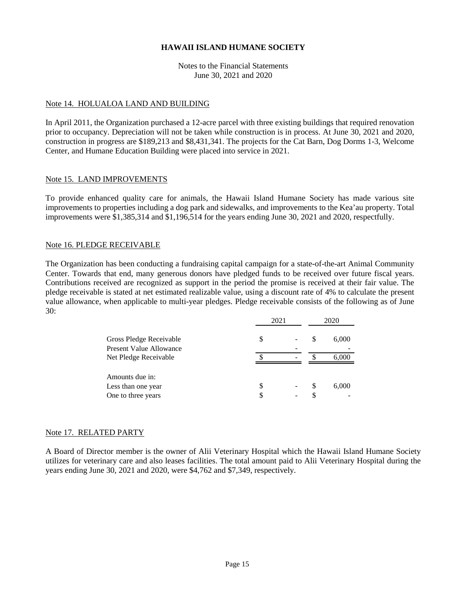Notes to the Financial Statements June 30, 2021 and 2020

#### Note 14. HOLUALOA LAND AND BUILDING

In April 2011, the Organization purchased a 12-acre parcel with three existing buildings that required renovation prior to occupancy. Depreciation will not be taken while construction is in process. At June 30, 2021 and 2020, construction in progress are \$189,213 and \$8,431,341. The projects for the Cat Barn, Dog Dorms 1-3, Welcome Center, and Humane Education Building were placed into service in 2021.

#### Note 15. LAND IMPROVEMENTS

To provide enhanced quality care for animals, the Hawaii Island Humane Society has made various site improvements to properties including a dog park and sidewalks, and improvements to the Kea'au property. Total improvements were \$1,385,314 and \$1,196,514 for the years ending June 30, 2021 and 2020, respectfully.

#### Note 16. PLEDGE RECEIVABLE

The Organization has been conducting a fundraising capital campaign for a state-of-the-art Animal Community Center. Towards that end, many generous donors have pledged funds to be received over future fiscal years. Contributions received are recognized as support in the period the promise is received at their fair value. The pledge receivable is stated at net estimated realizable value, using a discount rate of 4% to calculate the present value allowance, when applicable to multi-year pledges. Pledge receivable consists of the following as of June 30:

|                                                           | 2021 |  | 2020 |       |
|-----------------------------------------------------------|------|--|------|-------|
| Gross Pledge Receivable<br><b>Present Value Allowance</b> | S    |  | S    | 6,000 |
| Net Pledge Receivable                                     |      |  |      | 6,000 |
|                                                           |      |  |      |       |
| Amounts due in:                                           |      |  |      |       |
| Less than one year                                        | S    |  | S    | 6,000 |
| One to three years                                        | S    |  |      |       |

#### Note 17. RELATED PARTY

A Board of Director member is the owner of Alii Veterinary Hospital which the Hawaii Island Humane Society utilizes for veterinary care and also leases facilities. The total amount paid to Alii Veterinary Hospital during the years ending June 30, 2021 and 2020, were \$4,762 and \$7,349, respectively.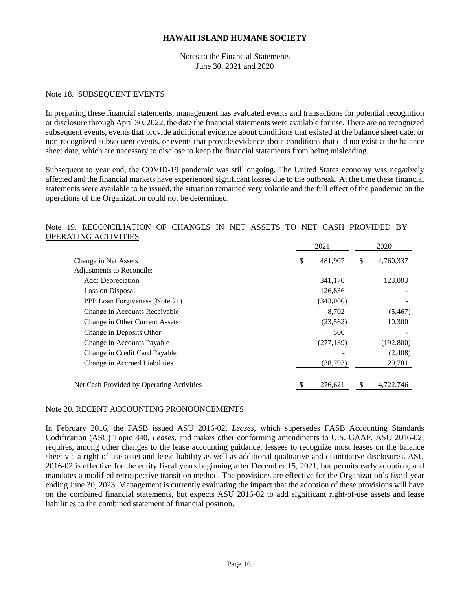Notes to the Financial Statements June 30, 2021 and 2020

#### Note 18. SUBSEQUENT EVENTS

In preparing these financial statements, management has evaluated events and transactions for potential recognition or disclosure through April 30, 2022, the date the financial statements were available for use. There are no recognized subsequent events, events that provide additional evidence about conditions that existed at the balance sheet date, or non-recognized subsequent events, or events that provide evidence about conditions that did not exist at the balance sheet date, which are necessary to disclose to keep the financial statements from being misleading.

Subsequent to year end, the COVID-19 pandemic was still ongoing. The United States economy was negatively affected and the financial markets have experienced significant losses due to the outbreak. At the time these financial statements were available to be issued, the situation remained very volatile and the full effect of the pandemic on the operations of the Organization could not be determined.

#### Note 19. RECONCILIATION OF CHANGES IN NET ASSETS TO NET CASH PROVIDED BY OPERATING ACTIVITIES

|                                           | 2021          |    | 2020      |  |
|-------------------------------------------|---------------|----|-----------|--|
| Change in Net Assets                      | \$<br>481,907 | \$ | 4,760,337 |  |
| Adjustments to Reconcile:                 |               |    |           |  |
| Add: Depreciation                         | 341,170       |    | 123,003   |  |
| Loss on Disposal                          | 126,836       |    |           |  |
| PPP Loan Forgiveness (Note 21)            | (343,000)     |    |           |  |
| Change in Accounts Receivable             | 8,702         |    | (5, 467)  |  |
| Change in Other Current Assets            | (23, 562)     |    | 10,300    |  |
| Change in Deposits Other                  | 500           |    |           |  |
| Change in Accounts Payable                | (277, 139)    |    | (192,800) |  |
| Change in Credit Card Payable             |               |    | (2,408)   |  |
| Change in Accrued Liabilities             | (38, 793)     |    | 29,781    |  |
|                                           |               |    |           |  |
| Net Cash Provided by Operating Activities | \$<br>276,621 | S  | 4,722,746 |  |

## Note 20. RECENT ACCOUNTING PRONOUNCEMENTS

In February 2016, the FASB issued ASU 2016-02, *Leases*, which supersedes FASB Accounting Standards Codification (ASC) Topic 840, *Leases*, and makes other conforming amendments to U.S. GAAP. ASU 2016-02, requires, among other changes to the lease accounting guidance, lessees to recognize most leases on the balance sheet via a right-of-use asset and lease liability as well as additional qualitative and quantitative disclosures. ASU 2016-02 is effective for the entity fiscal years beginning after December 15, 2021, but permits early adoption, and mandates a modified retrospective transition method. The provisions are effective for the Organization's fiscal year ending June 30, 2023. Management is currently evaluating the impact that the adoption of these provisions will have on the combined financial statements, but expects ASU 2016-02 to add significant right-of-use assets and lease liabilities to the combined statement of financial position.